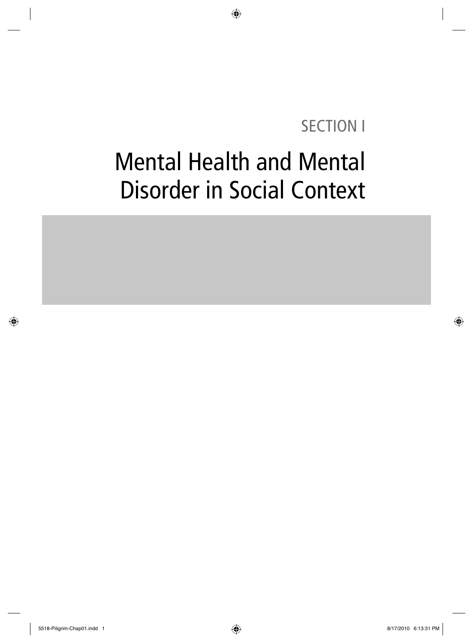### SECTION I

## Mental Health and Mental Disorder in Social Context

 $\bigoplus$ 

 $\bigoplus$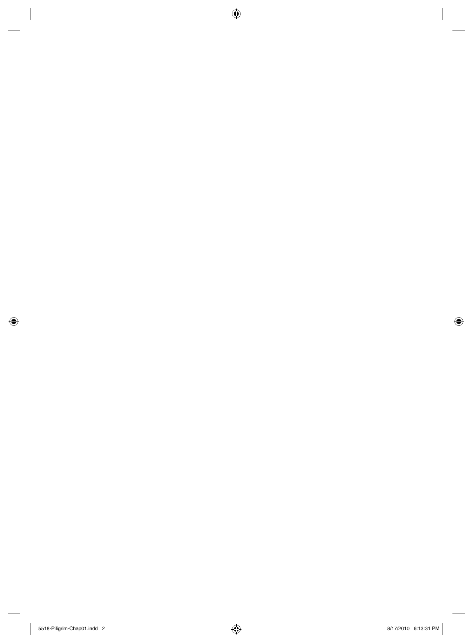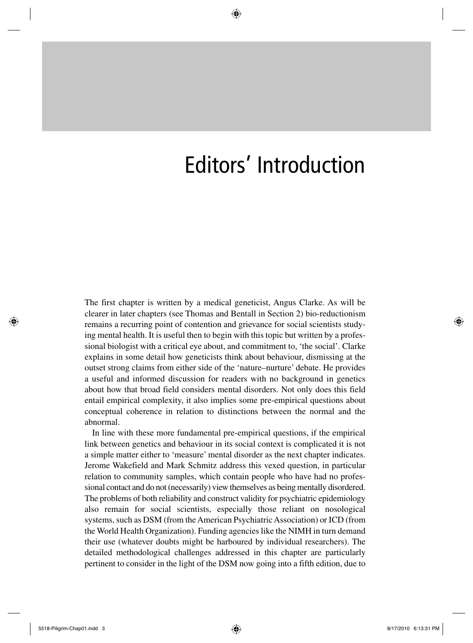## Editors' Introduction

⊕

The first chapter is written by a medical geneticist, Angus Clarke. As will be clearer in later chapters (see Thomas and Bentall in Section 2) bio-reductionism remains a recurring point of contention and grievance for social scientists studying mental health. It is useful then to begin with this topic but written by a professional biologist with a critical eye about, and commitment to, 'the social'. Clarke explains in some detail how geneticists think about behaviour, dismissing at the outset strong claims from either side of the 'nature–nurture' debate. He provides a useful and informed discussion for readers with no background in genetics about how that broad field considers mental disorders. Not only does this field entail empirical complexity, it also implies some pre-empirical questions about conceptual coherence in relation to distinctions between the normal and the abnormal.

In line with these more fundamental pre-empirical questions, if the empirical link between genetics and behaviour in its social context is complicated it is not a simple matter either to 'measure' mental disorder as the next chapter indicates. Jerome Wakefield and Mark Schmitz address this vexed question, in particular relation to community samples, which contain people who have had no professional contact and do not (necessarily) view themselves as being mentally disordered. The problems of both reliability and construct validity for psychiatric epidemiology also remain for social scientists, especially those reliant on nosological systems, such as DSM (from the American Psychiatric Association) or ICD (from the World Health Organization). Funding agencies like the NIMH in turn demand their use (whatever doubts might be harboured by individual researchers). The detailed methodological challenges addressed in this chapter are particularly pertinent to consider in the light of the DSM now going into a fifth edition, due to

5518-Piligrim-Chap01.indd 3 518-Piligrim-Chap01.indd 8/17/2010 6:13:31 PM /17/2010

⊕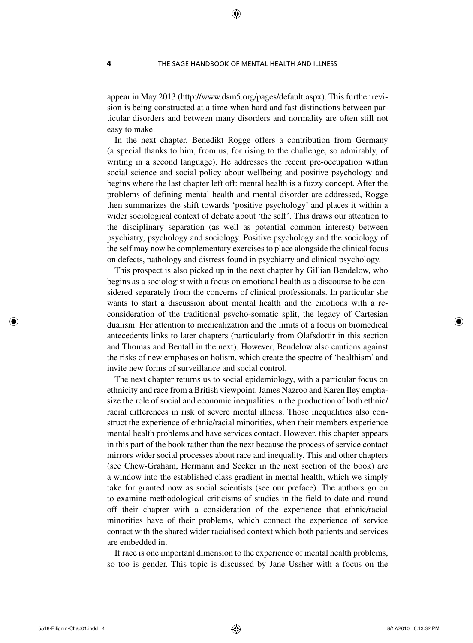appear in May 2013 (http://www.dsm5.org/pages/default.aspx). This further revision is being constructed at a time when hard and fast distinctions between particular disorders and between many disorders and normality are often still not easy to make.

In the next chapter, Benedikt Rogge offers a contribution from Germany (a special thanks to him, from us, for rising to the challenge, so admirably, of writing in a second language). He addresses the recent pre-occupation within social science and social policy about wellbeing and positive psychology and begins where the last chapter left off: mental health is a fuzzy concept. After the problems of defining mental health and mental disorder are addressed, Rogge then summarizes the shift towards 'positive psychology' and places it within a wider sociological context of debate about 'the self'. This draws our attention to the disciplinary separation (as well as potential common interest) between psychiatry, psychology and sociology. Positive psychology and the sociology of the self may now be complementary exercises to place alongside the clinical focus on defects, pathology and distress found in psychiatry and clinical psychology.

This prospect is also picked up in the next chapter by Gillian Bendelow, who begins as a sociologist with a focus on emotional health as a discourse to be considered separately from the concerns of clinical professionals. In particular she wants to start a discussion about mental health and the emotions with a reconsideration of the traditional psycho-somatic split, the legacy of Cartesian dualism. Her attention to medicalization and the limits of a focus on biomedical antecedents links to later chapters (particularly from Olafsdottir in this section and Thomas and Bentall in the next). However, Bendelow also cautions against the risks of new emphases on holism, which create the spectre of 'healthism' and invite new forms of surveillance and social control.

The next chapter returns us to social epidemiology, with a particular focus on ethnicity and race from a British viewpoint. James Nazroo and Karen Iley emphasize the role of social and economic inequalities in the production of both ethnic/ racial differences in risk of severe mental illness. Those inequalities also construct the experience of ethnic/racial minorities, when their members experience mental health problems and have services contact. However, this chapter appears in this part of the book rather than the next because the process of service contact mirrors wider social processes about race and inequality. This and other chapters (see Chew-Graham, Hermann and Secker in the next section of the book) are a window into the established class gradient in mental health, which we simply take for granted now as social scientists (see our preface). The authors go on to examine methodological criticisms of studies in the field to date and round off their chapter with a consideration of the experience that ethnic/racial minorities have of their problems, which connect the experience of service contact with the shared wider racialised context which both patients and services are embedded in.

If race is one important dimension to the experience of mental health problems, so too is gender. This topic is discussed by Jane Ussher with a focus on the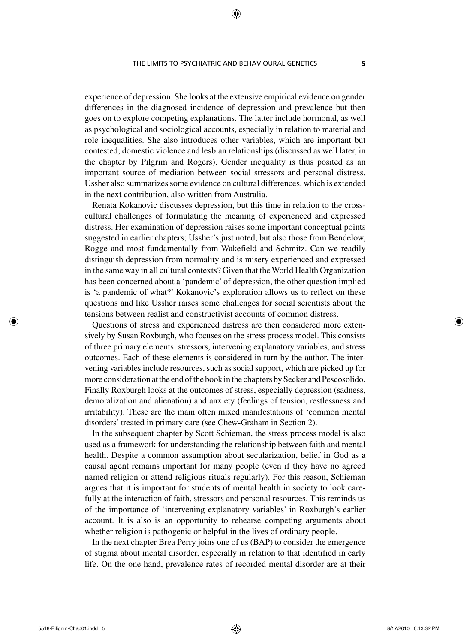experience of depression. She looks at the extensive empirical evidence on gender differences in the diagnosed incidence of depression and prevalence but then goes on to explore competing explanations. The latter include hormonal, as well as psychological and sociological accounts, especially in relation to material and role inequalities. She also introduces other variables, which are important but contested; domestic violence and lesbian relationships (discussed as well later, in the chapter by Pilgrim and Rogers). Gender inequality is thus posited as an important source of mediation between social stressors and personal distress. Ussher also summarizes some evidence on cultural differences, which is extended in the next contribution, also written from Australia.

Renata Kokanovic discusses depression, but this time in relation to the crosscultural challenges of formulating the meaning of experienced and expressed distress. Her examination of depression raises some important conceptual points suggested in earlier chapters; Ussher's just noted, but also those from Bendelow, Rogge and most fundamentally from Wakefield and Schmitz. Can we readily distinguish depression from normality and is misery experienced and expressed in the same way in all cultural contexts? Given that the World Health Organization has been concerned about a 'pandemic' of depression, the other question implied is 'a pandemic of what?' Kokanovic's exploration allows us to reflect on these questions and like Ussher raises some challenges for social scientists about the tensions between realist and constructivist accounts of common distress.

Questions of stress and experienced distress are then considered more extensively by Susan Roxburgh, who focuses on the stress process model. This consists of three primary elements: stressors, intervening explanatory variables, and stress outcomes. Each of these elements is considered in turn by the author. The intervening variables include resources, such as social support, which are picked up for more consideration at the end of the book in the chapters by Secker and Pescosolido. Finally Roxburgh looks at the outcomes of stress, especially depression (sadness, demoralization and alienation) and anxiety (feelings of tension, restlessness and irritability). These are the main often mixed manifestations of 'common mental disorders' treated in primary care (see Chew-Graham in Section 2).

In the subsequent chapter by Scott Schieman, the stress process model is also used as a framework for understanding the relationship between faith and mental health. Despite a common assumption about secularization, belief in God as a causal agent remains important for many people (even if they have no agreed named religion or attend religious rituals regularly). For this reason, Schieman argues that it is important for students of mental health in society to look carefully at the interaction of faith, stressors and personal resources. This reminds us of the importance of 'intervening explanatory variables' in Roxburgh's earlier account. It is also is an opportunity to rehearse competing arguments about whether religion is pathogenic or helpful in the lives of ordinary people.

In the next chapter Brea Perry joins one of us (BAP) to consider the emergence of stigma about mental disorder, especially in relation to that identified in early life. On the one hand, prevalence rates of recorded mental disorder are at their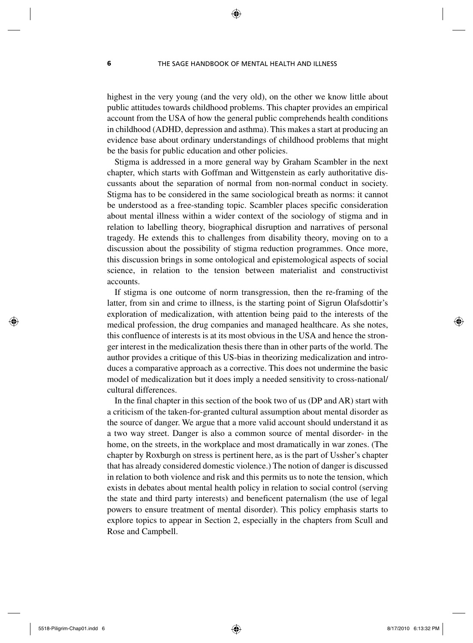highest in the very young (and the very old), on the other we know little about public attitudes towards childhood problems. This chapter provides an empirical account from the USA of how the general public comprehends health conditions in childhood (ADHD, depression and asthma). This makes a start at producing an evidence base about ordinary understandings of childhood problems that might be the basis for public education and other policies.

Stigma is addressed in a more general way by Graham Scambler in the next chapter, which starts with Goffman and Wittgenstein as early authoritative discussants about the separation of normal from non-normal conduct in society. Stigma has to be considered in the same sociological breath as norms: it cannot be understood as a free-standing topic. Scambler places specific consideration about mental illness within a wider context of the sociology of stigma and in relation to labelling theory, biographical disruption and narratives of personal tragedy. He extends this to challenges from disability theory, moving on to a discussion about the possibility of stigma reduction programmes. Once more, this discussion brings in some ontological and epistemological aspects of social science, in relation to the tension between materialist and constructivist accounts.

If stigma is one outcome of norm transgression, then the re-framing of the latter, from sin and crime to illness, is the starting point of Sigrun Olafsdottir's exploration of medicalization, with attention being paid to the interests of the medical profession, the drug companies and managed healthcare. As she notes, this confluence of interests is at its most obvious in the USA and hence the stronger interest in the medicalization thesis there than in other parts of the world. The author provides a critique of this US-bias in theorizing medicalization and introduces a comparative approach as a corrective. This does not undermine the basic model of medicalization but it does imply a needed sensitivity to cross-national/ cultural differences.

In the final chapter in this section of the book two of us (DP and AR) start with a criticism of the taken-for-granted cultural assumption about mental disorder as the source of danger. We argue that a more valid account should understand it as a two way street. Danger is also a common source of mental disorder- in the home, on the streets, in the workplace and most dramatically in war zones. (The chapter by Roxburgh on stress is pertinent here, as is the part of Ussher's chapter that has already considered domestic violence.) The notion of danger is discussed in relation to both violence and risk and this permits us to note the tension, which exists in debates about mental health policy in relation to social control (serving the state and third party interests) and beneficent paternalism (the use of legal powers to ensure treatment of mental disorder). This policy emphasis starts to explore topics to appear in Section 2, especially in the chapters from Scull and Rose and Campbell.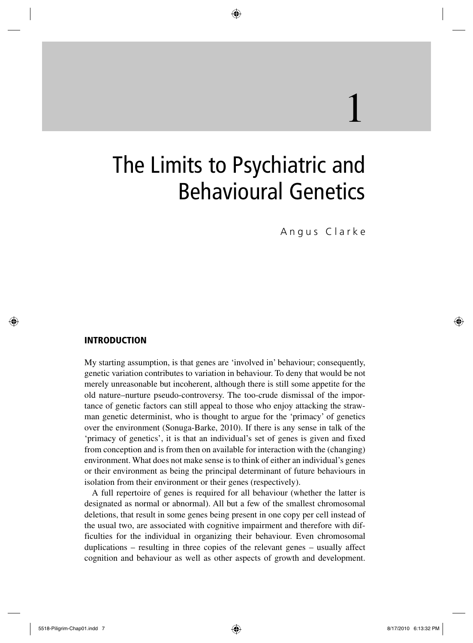# The Limits to Psychiatric and Behavioural Genetics

⊕

Angus Clarke

1

#### INTRODUCTION

⊕

My starting assumption, is that genes are 'involved in' behaviour; consequently, genetic variation contributes to variation in behaviour. To deny that would be not merely unreasonable but incoherent, although there is still some appetite for the old nature–nurture pseudo-controversy. The too-crude dismissal of the importance of genetic factors can still appeal to those who enjoy attacking the strawman genetic determinist, who is thought to argue for the 'primacy' of genetics over the environment (Sonuga-Barke, 2010). If there is any sense in talk of the 'primacy of genetics', it is that an individual's set of genes is given and fixed from conception and is from then on available for interaction with the (changing) environment. What does not make sense is to think of either an individual's genes or their environment as being the principal determinant of future behaviours in isolation from their environment or their genes (respectively).

A full repertoire of genes is required for all behaviour (whether the latter is designated as normal or abnormal). All but a few of the smallest chromosomal deletions, that result in some genes being present in one copy per cell instead of the usual two, are associated with cognitive impairment and therefore with difficulties for the individual in organizing their behaviour. Even chromosomal duplications – resulting in three copies of the relevant genes – usually affect cognition and behaviour as well as other aspects of growth and development.

5518-Piligrim-Chap01.indd 7 8/17/2010 6:13:32 PM /17/2010 6:13:32 PM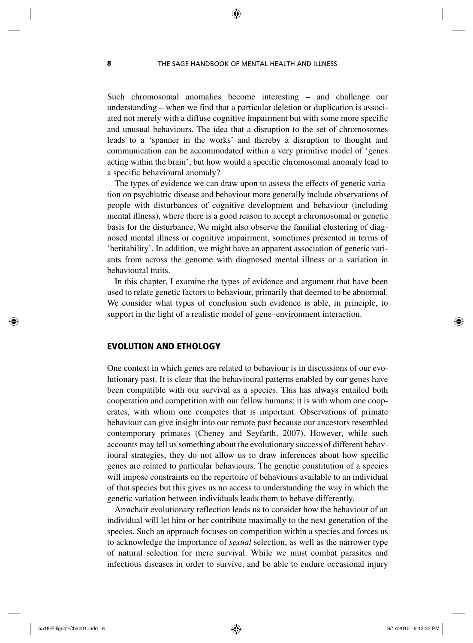Such chromosomal anomalies become interesting – and challenge our understanding – when we find that a particular deletion or duplication is associated not merely with a diffuse cognitive impairment but with some more specific and unusual behaviours. The idea that a disruption to the set of chromosomes leads to a 'spanner in the works' and thereby a disruption to thought and communication can be accommodated within a very primitive model of 'genes acting within the brain'; but how would a specific chromosomal anomaly lead to a specific behavioural anomaly?

The types of evidence we can draw upon to assess the effects of genetic variation on psychiatric disease and behaviour more generally include observations of people with disturbances of cognitive development and behaviour (including mental illness), where there is a good reason to accept a chromosomal or genetic basis for the disturbance. We might also observe the familial clustering of diagnosed mental illness or cognitive impairment, sometimes presented in terms of 'heritability'. In addition, we might have an apparent association of genetic variants from across the genome with diagnosed mental illness or a variation in behavioural traits.

In this chapter, I examine the types of evidence and argument that have been used to relate genetic factors to behaviour, primarily that deemed to be abnormal. We consider what types of conclusion such evidence is able, in principle, to support in the light of a realistic model of gene–environment interaction.

#### EVOLUTION AND ETHOLOGY

One context in which genes are related to behaviour is in discussions of our evolutionary past. It is clear that the behavioural patterns enabled by our genes have been compatible with our survival as a species. This has always entailed both cooperation and competition with our fellow humans; it is with whom one cooperates, with whom one competes that is important. Observations of primate behaviour can give insight into our remote past because our ancestors resembled contemporary primates (Cheney and Seyfarth, 2007). However, while such accounts may tell us something about the evolutionary success of different behavioural strategies, they do not allow us to draw inferences about how specific genes are related to particular behaviours. The genetic constitution of a species will impose constraints on the repertoire of behaviours available to an individual of that species but this gives us no access to understanding the way in which the genetic variation between individuals leads them to behave differently.

Armchair evolutionary reflection leads us to consider how the behaviour of an individual will let him or her contribute maximally to the next generation of the species. Such an approach focuses on competition within a species and forces us to acknowledge the importance of *sexual* selection, as well as the narrower type of natural selection for mere survival. While we must combat parasites and infectious diseases in order to survive, and be able to endure occasional injury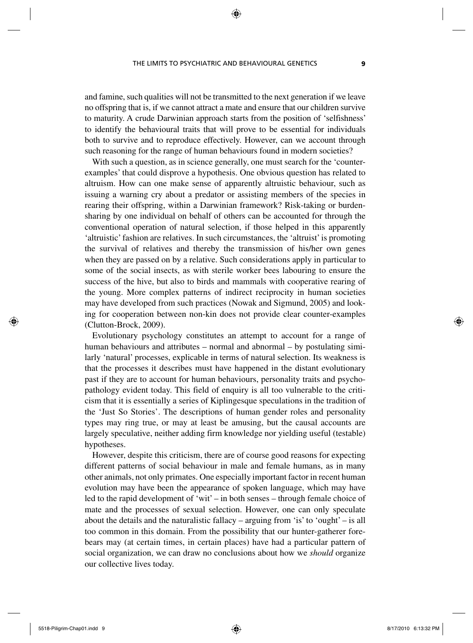⊕

and famine, such qualities will not be transmitted to the next generation if we leave no offspring that is, if we cannot attract a mate and ensure that our children survive to maturity. A crude Darwinian approach starts from the position of 'selfishness' to identify the behavioural traits that will prove to be essential for individuals both to survive and to reproduce effectively. However, can we account through such reasoning for the range of human behaviours found in modern societies?

With such a question, as in science generally, one must search for the 'counterexamples' that could disprove a hypothesis. One obvious question has related to altruism. How can one make sense of apparently altruistic behaviour, such as issuing a warning cry about a predator or assisting members of the species in rearing their offspring, within a Darwinian framework? Risk-taking or burdensharing by one individual on behalf of others can be accounted for through the conventional operation of natural selection, if those helped in this apparently 'altruistic' fashion are relatives. In such circumstances, the 'altruist' is promoting the survival of relatives and thereby the transmission of his/her own genes when they are passed on by a relative. Such considerations apply in particular to some of the social insects, as with sterile worker bees labouring to ensure the success of the hive, but also to birds and mammals with cooperative rearing of the young. More complex patterns of indirect reciprocity in human societies may have developed from such practices (Nowak and Sigmund, 2005) and looking for cooperation between non-kin does not provide clear counter-examples (Clutton-Brock, 2009).

Evolutionary psychology constitutes an attempt to account for a range of human behaviours and attributes – normal and abnormal – by postulating similarly 'natural' processes, explicable in terms of natural selection. Its weakness is that the processes it describes must have happened in the distant evolutionary past if they are to account for human behaviours, personality traits and psychopathology evident today. This field of enquiry is all too vulnerable to the criticism that it is essentially a series of Kiplingesque speculations in the tradition of the 'Just So Stories'. The descriptions of human gender roles and personality types may ring true, or may at least be amusing, but the causal accounts are largely speculative, neither adding firm knowledge nor yielding useful (testable) hypotheses.

However, despite this criticism, there are of course good reasons for expecting different patterns of social behaviour in male and female humans, as in many other animals, not only primates. One especially important factor in recent human evolution may have been the appearance of spoken language, which may have led to the rapid development of 'wit' – in both senses – through female choice of mate and the processes of sexual selection. However, one can only speculate about the details and the naturalistic fallacy – arguing from 'is' to 'ought' – is all too common in this domain. From the possibility that our hunter-gatherer forebears may (at certain times, in certain places) have had a particular pattern of social organization, we can draw no conclusions about how we *should* organize our collective lives today.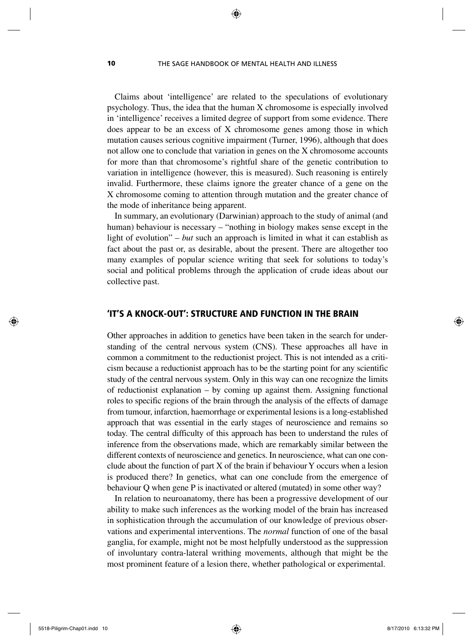#### **10** THE SAGE HANDBOOK OF MENTAL HEALTH AND ILLNESS

⊕

Claims about 'intelligence' are related to the speculations of evolutionary psychology. Thus, the idea that the human X chromosome is especially involved in 'intelligence' receives a limited degree of support from some evidence. There does appear to be an excess of X chromosome genes among those in which mutation causes serious cognitive impairment (Turner, 1996), although that does not allow one to conclude that variation in genes on the X chromosome accounts for more than that chromosome's rightful share of the genetic contribution to variation in intelligence (however, this is measured). Such reasoning is entirely invalid. Furthermore, these claims ignore the greater chance of a gene on the X chromosome coming to attention through mutation and the greater chance of the mode of inheritance being apparent.

In summary, an evolutionary (Darwinian) approach to the study of animal (and human) behaviour is necessary – "nothing in biology makes sense except in the light of evolution" – *but* such an approach is limited in what it can establish as fact about the past or, as desirable, about the present. There are altogether too many examples of popular science writing that seek for solutions to today's social and political problems through the application of crude ideas about our collective past.

#### 'IT'S A KNOCK-OUT': STRUCTURE AND FUNCTION IN THE BRAIN

Other approaches in addition to genetics have been taken in the search for understanding of the central nervous system (CNS). These approaches all have in common a commitment to the reductionist project. This is not intended as a criticism because a reductionist approach has to be the starting point for any scientific study of the central nervous system. Only in this way can one recognize the limits of reductionist explanation – by coming up against them. Assigning functional roles to specific regions of the brain through the analysis of the effects of damage from tumour, infarction, haemorrhage or experimental lesions is a long-established approach that was essential in the early stages of neuroscience and remains so today. The central difficulty of this approach has been to understand the rules of inference from the observations made, which are remarkably similar between the different contexts of neuroscience and genetics. In neuroscience, what can one conclude about the function of part  $X$  of the brain if behaviour  $Y$  occurs when a lesion is produced there? In genetics, what can one conclude from the emergence of behaviour Q when gene P is inactivated or altered (mutated) in some other way?

In relation to neuroanatomy, there has been a progressive development of our ability to make such inferences as the working model of the brain has increased in sophistication through the accumulation of our knowledge of previous observations and experimental interventions. The *normal* function of one of the basal ganglia, for example, might not be most helpfully understood as the suppression of involuntary contra-lateral writhing movements, although that might be the most prominent feature of a lesion there, whether pathological or experimental.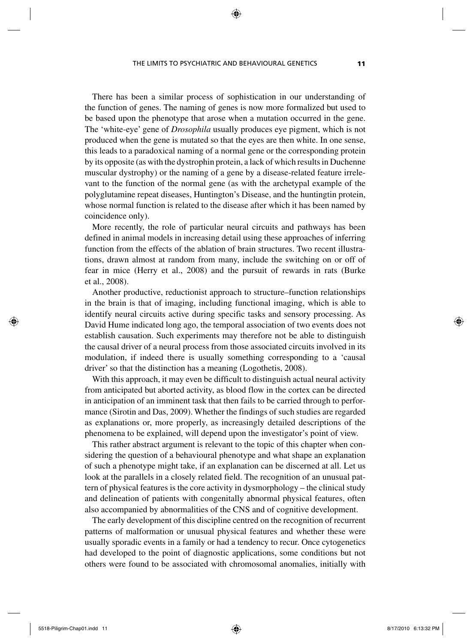⊕

There has been a similar process of sophistication in our understanding of the function of genes. The naming of genes is now more formalized but used to be based upon the phenotype that arose when a mutation occurred in the gene. The 'white-eye' gene of *Drosophila* usually produces eye pigment, which is not produced when the gene is mutated so that the eyes are then white. In one sense, this leads to a paradoxical naming of a normal gene or the corresponding protein by its opposite (as with the dystrophin protein, a lack of which results in Duchenne muscular dystrophy) or the naming of a gene by a disease-related feature irrelevant to the function of the normal gene (as with the archetypal example of the polyglutamine repeat diseases, Huntington's Disease, and the huntingtin protein, whose normal function is related to the disease after which it has been named by coincidence only).

More recently, the role of particular neural circuits and pathways has been defined in animal models in increasing detail using these approaches of inferring function from the effects of the ablation of brain structures. Two recent illustrations, drawn almost at random from many, include the switching on or off of fear in mice (Herry et al., 2008) and the pursuit of rewards in rats (Burke et al., 2008).

Another productive, reductionist approach to structure–function relationships in the brain is that of imaging, including functional imaging, which is able to identify neural circuits active during specific tasks and sensory processing. As David Hume indicated long ago, the temporal association of two events does not establish causation. Such experiments may therefore not be able to distinguish the causal driver of a neural process from those associated circuits involved in its modulation, if indeed there is usually something corresponding to a 'causal driver' so that the distinction has a meaning (Logothetis, 2008).

With this approach, it may even be difficult to distinguish actual neural activity from anticipated but aborted activity, as blood flow in the cortex can be directed in anticipation of an imminent task that then fails to be carried through to performance (Sirotin and Das, 2009). Whether the findings of such studies are regarded as explanations or, more properly, as increasingly detailed descriptions of the phenomena to be explained, will depend upon the investigator's point of view.

This rather abstract argument is relevant to the topic of this chapter when considering the question of a behavioural phenotype and what shape an explanation of such a phenotype might take, if an explanation can be discerned at all. Let us look at the parallels in a closely related field. The recognition of an unusual pattern of physical features is the core activity in dysmorphology – the clinical study and delineation of patients with congenitally abnormal physical features, often also accompanied by abnormalities of the CNS and of cognitive development.

The early development of this discipline centred on the recognition of recurrent patterns of malformation or unusual physical features and whether these were usually sporadic events in a family or had a tendency to recur. Once cytogenetics had developed to the point of diagnostic applications, some conditions but not others were found to be associated with chromosomal anomalies, initially with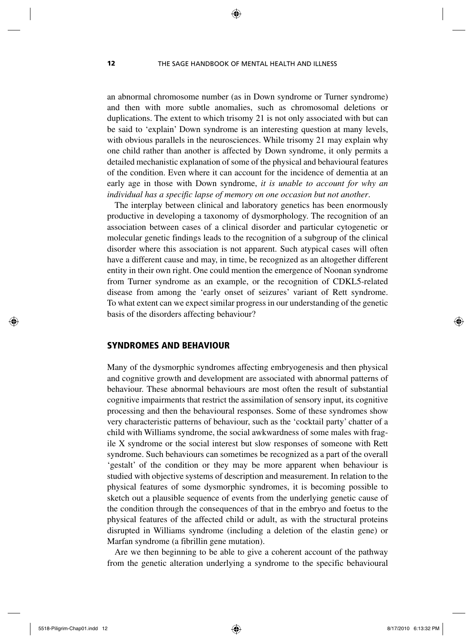an abnormal chromosome number (as in Down syndrome or Turner syndrome) and then with more subtle anomalies, such as chromosomal deletions or duplications. The extent to which trisomy 21 is not only associated with but can be said to 'explain' Down syndrome is an interesting question at many levels, with obvious parallels in the neurosciences. While trisomy 21 may explain why one child rather than another is affected by Down syndrome, it only permits a detailed mechanistic explanation of some of the physical and behavioural features of the condition. Even where it can account for the incidence of dementia at an early age in those with Down syndrome, *it is unable to account for why an individual has a specific lapse of memory on one occasion but not another*.

The interplay between clinical and laboratory genetics has been enormously productive in developing a taxonomy of dysmorphology. The recognition of an association between cases of a clinical disorder and particular cytogenetic or molecular genetic findings leads to the recognition of a subgroup of the clinical disorder where this association is not apparent. Such atypical cases will often have a different cause and may, in time, be recognized as an altogether different entity in their own right. One could mention the emergence of Noonan syndrome from Turner syndrome as an example, or the recognition of CDKL5-related disease from among the 'early onset of seizures' variant of Rett syndrome. To what extent can we expect similar progress in our understanding of the genetic basis of the disorders affecting behaviour?

#### SYNDROMES AND BEHAVIOUR

Many of the dysmorphic syndromes affecting embryogenesis and then physical and cognitive growth and development are associated with abnormal patterns of behaviour. These abnormal behaviours are most often the result of substantial cognitive impairments that restrict the assimilation of sensory input, its cognitive processing and then the behavioural responses. Some of these syndromes show very characteristic patterns of behaviour, such as the 'cocktail party' chatter of a child with Williams syndrome, the social awkwardness of some males with fragile X syndrome or the social interest but slow responses of someone with Rett syndrome. Such behaviours can sometimes be recognized as a part of the overall 'gestalt' of the condition or they may be more apparent when behaviour is studied with objective systems of description and measurement. In relation to the physical features of some dysmorphic syndromes, it is becoming possible to sketch out a plausible sequence of events from the underlying genetic cause of the condition through the consequences of that in the embryo and foetus to the physical features of the affected child or adult, as with the structural proteins disrupted in Williams syndrome (including a deletion of the elastin gene) or Marfan syndrome (a fibrillin gene mutation).

Are we then beginning to be able to give a coherent account of the pathway from the genetic alteration underlying a syndrome to the specific behavioural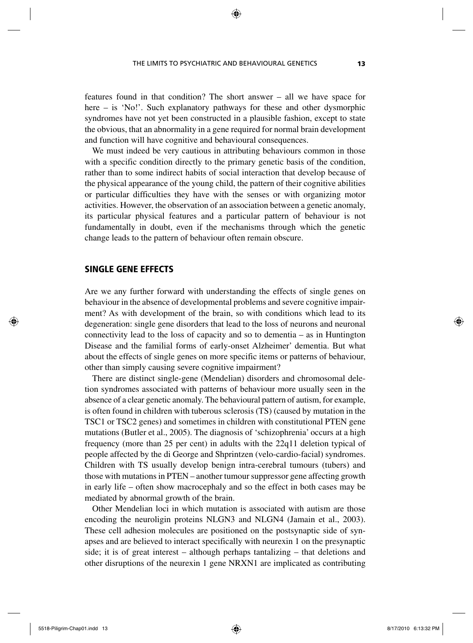⊕

features found in that condition? The short answer – all we have space for here – is 'No!'. Such explanatory pathways for these and other dysmorphic syndromes have not yet been constructed in a plausible fashion, except to state the obvious, that an abnormality in a gene required for normal brain development and function will have cognitive and behavioural consequences.

We must indeed be very cautious in attributing behaviours common in those with a specific condition directly to the primary genetic basis of the condition, rather than to some indirect habits of social interaction that develop because of the physical appearance of the young child, the pattern of their cognitive abilities or particular difficulties they have with the senses or with organizing motor activities. However, the observation of an association between a genetic anomaly, its particular physical features and a particular pattern of behaviour is not fundamentally in doubt, even if the mechanisms through which the genetic change leads to the pattern of behaviour often remain obscure.

#### SINGLE GENE EFFECTS

Are we any further forward with understanding the effects of single genes on behaviour in the absence of developmental problems and severe cognitive impairment? As with development of the brain, so with conditions which lead to its degeneration: single gene disorders that lead to the loss of neurons and neuronal connectivity lead to the loss of capacity and so to dementia – as in Huntington Disease and the familial forms of early-onset Alzheimer' dementia. But what about the effects of single genes on more specific items or patterns of behaviour, other than simply causing severe cognitive impairment?

There are distinct single-gene (Mendelian) disorders and chromosomal deletion syndromes associated with patterns of behaviour more usually seen in the absence of a clear genetic anomaly. The behavioural pattern of autism, for example, is often found in children with tuberous sclerosis (TS) (caused by mutation in the TSC1 or TSC2 genes) and sometimes in children with constitutional PTEN gene mutations (Butler et al., 2005). The diagnosis of 'schizophrenia' occurs at a high frequency (more than 25 per cent) in adults with the 22q11 deletion typical of people affected by the di George and Shprintzen (velo-cardio-facial) syndromes. Children with TS usually develop benign intra-cerebral tumours (tubers) and those with mutations in PTEN – another tumour suppressor gene affecting growth in early life – often show macrocephaly and so the effect in both cases may be mediated by abnormal growth of the brain.

Other Mendelian loci in which mutation is associated with autism are those encoding the neuroligin proteins NLGN3 and NLGN4 (Jamain et al., 2003). These cell adhesion molecules are positioned on the postsynaptic side of synapses and are believed to interact specifically with neurexin 1 on the presynaptic side; it is of great interest – although perhaps tantalizing – that deletions and other disruptions of the neurexin 1 gene NRXN1 are implicated as contributing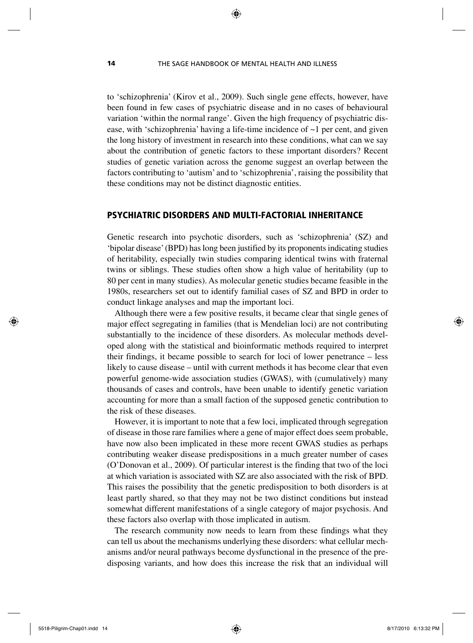to 'schizophrenia' (Kirov et al., 2009). Such single gene effects, however, have been found in few cases of psychiatric disease and in no cases of behavioural variation 'within the normal range'. Given the high frequency of psychiatric disease, with 'schizophrenia' having a life-time incidence of ~1 per cent, and given the long history of investment in research into these conditions, what can we say about the contribution of genetic factors to these important disorders? Recent studies of genetic variation across the genome suggest an overlap between the factors contributing to 'autism' and to 'schizophrenia', raising the possibility that these conditions may not be distinct diagnostic entities.

#### PSYCHIATRIC DISORDERS AND MULTI-FACTORIAL INHERITANCE

Genetic research into psychotic disorders, such as 'schizophrenia' (SZ) and 'bipolar disease' (BPD) has long been justified by its proponents indicating studies of heritability, especially twin studies comparing identical twins with fraternal twins or siblings. These studies often show a high value of heritability (up to 80 per cent in many studies). As molecular genetic studies became feasible in the 1980s, researchers set out to identify familial cases of SZ and BPD in order to conduct linkage analyses and map the important loci.

Although there were a few positive results, it became clear that single genes of major effect segregating in families (that is Mendelian loci) are not contributing substantially to the incidence of these disorders. As molecular methods developed along with the statistical and bioinformatic methods required to interpret their findings, it became possible to search for loci of lower penetrance – less likely to cause disease – until with current methods it has become clear that even powerful genome-wide association studies (GWAS), with (cumulatively) many thousands of cases and controls, have been unable to identify genetic variation accounting for more than a small faction of the supposed genetic contribution to the risk of these diseases.

However, it is important to note that a few loci, implicated through segregation of disease in those rare families where a gene of major effect does seem probable, have now also been implicated in these more recent GWAS studies as perhaps contributing weaker disease predispositions in a much greater number of cases (O'Donovan et al., 2009). Of particular interest is the finding that two of the loci at which variation is associated with SZ are also associated with the risk of BPD. This raises the possibility that the genetic predisposition to both disorders is at least partly shared, so that they may not be two distinct conditions but instead somewhat different manifestations of a single category of major psychosis. And these factors also overlap with those implicated in autism.

The research community now needs to learn from these findings what they can tell us about the mechanisms underlying these disorders: what cellular mechanisms and/or neural pathways become dysfunctional in the presence of the predisposing variants, and how does this increase the risk that an individual will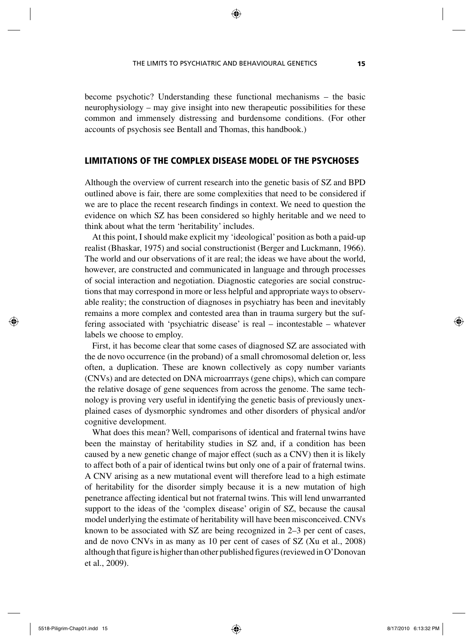⊕

become psychotic? Understanding these functional mechanisms – the basic neurophysiology – may give insight into new therapeutic possibilities for these common and immensely distressing and burdensome conditions. (For other accounts of psychosis see Bentall and Thomas, this handbook.)

#### LIMITATIONS OF THE COMPLEX DISEASE MODEL OF THE PSYCHOSES

Although the overview of current research into the genetic basis of SZ and BPD outlined above is fair, there are some complexities that need to be considered if we are to place the recent research findings in context. We need to question the evidence on which SZ has been considered so highly heritable and we need to think about what the term 'heritability' includes.

At this point, I should make explicit my 'ideological' position as both a paid-up realist (Bhaskar, 1975) and social constructionist (Berger and Luckmann, 1966). The world and our observations of it are real; the ideas we have about the world, however, are constructed and communicated in language and through processes of social interaction and negotiation. Diagnostic categories are social constructions that may correspond in more or less helpful and appropriate ways to observable reality; the construction of diagnoses in psychiatry has been and inevitably remains a more complex and contested area than in trauma surgery but the suffering associated with 'psychiatric disease' is real – incontestable – whatever labels we choose to employ.

First, it has become clear that some cases of diagnosed SZ are associated with the de novo occurrence (in the proband) of a small chromosomal deletion or, less often, a duplication. These are known collectively as copy number variants (CNVs) and are detected on DNA microarrrays (gene chips), which can compare the relative dosage of gene sequences from across the genome. The same technology is proving very useful in identifying the genetic basis of previously unexplained cases of dysmorphic syndromes and other disorders of physical and/or cognitive development.

What does this mean? Well, comparisons of identical and fraternal twins have been the mainstay of heritability studies in SZ and, if a condition has been caused by a new genetic change of major effect (such as a CNV) then it is likely to affect both of a pair of identical twins but only one of a pair of fraternal twins. A CNV arising as a new mutational event will therefore lead to a high estimate of heritability for the disorder simply because it is a new mutation of high penetrance affecting identical but not fraternal twins. This will lend unwarranted support to the ideas of the 'complex disease' origin of SZ, because the causal model underlying the estimate of heritability will have been misconceived. CNVs known to be associated with SZ are being recognized in 2–3 per cent of cases, and de novo CNVs in as many as 10 per cent of cases of SZ (Xu et al., 2008) although that figure is higher than other published figures (reviewed in O'Donovan et al., 2009).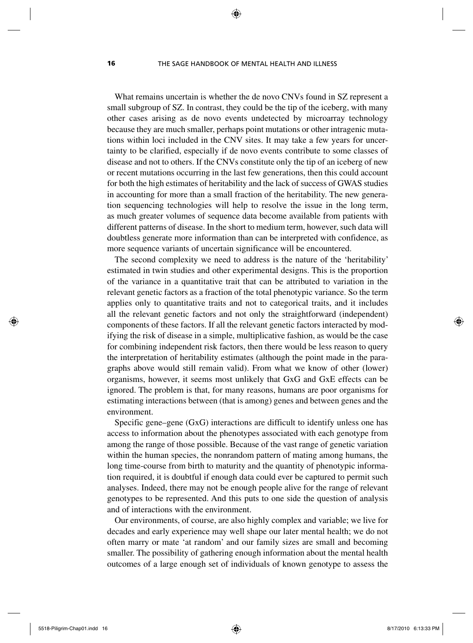#### **16** THE SAGE HANDBOOK OF MENTAL HEALTH AND ILLNESS

⊕

What remains uncertain is whether the de novo CNVs found in SZ represent a small subgroup of SZ. In contrast, they could be the tip of the iceberg, with many other cases arising as de novo events undetected by microarray technology because they are much smaller, perhaps point mutations or other intragenic mutations within loci included in the CNV sites. It may take a few years for uncertainty to be clarified, especially if de novo events contribute to some classes of disease and not to others. If the CNVs constitute only the tip of an iceberg of new or recent mutations occurring in the last few generations, then this could account for both the high estimates of heritability and the lack of success of GWAS studies in accounting for more than a small fraction of the heritability. The new generation sequencing technologies will help to resolve the issue in the long term, as much greater volumes of sequence data become available from patients with different patterns of disease. In the short to medium term, however, such data will doubtless generate more information than can be interpreted with confidence, as more sequence variants of uncertain significance will be encountered.

The second complexity we need to address is the nature of the 'heritability' estimated in twin studies and other experimental designs. This is the proportion of the variance in a quantitative trait that can be attributed to variation in the relevant genetic factors as a fraction of the total phenotypic variance. So the term applies only to quantitative traits and not to categorical traits, and it includes all the relevant genetic factors and not only the straightforward (independent) components of these factors. If all the relevant genetic factors interacted by modifying the risk of disease in a simple, multiplicative fashion, as would be the case for combining independent risk factors, then there would be less reason to query the interpretation of heritability estimates (although the point made in the paragraphs above would still remain valid). From what we know of other (lower) organisms, however, it seems most unlikely that GxG and GxE effects can be ignored. The problem is that, for many reasons, humans are poor organisms for estimating interactions between (that is among) genes and between genes and the environment.

Specific gene–gene (GxG) interactions are difficult to identify unless one has access to information about the phenotypes associated with each genotype from among the range of those possible. Because of the vast range of genetic variation within the human species, the nonrandom pattern of mating among humans, the long time-course from birth to maturity and the quantity of phenotypic information required, it is doubtful if enough data could ever be captured to permit such analyses. Indeed, there may not be enough people alive for the range of relevant genotypes to be represented. And this puts to one side the question of analysis and of interactions with the environment.

Our environments, of course, are also highly complex and variable; we live for decades and early experience may well shape our later mental health; we do not often marry or mate 'at random' and our family sizes are small and becoming smaller. The possibility of gathering enough information about the mental health outcomes of a large enough set of individuals of known genotype to assess the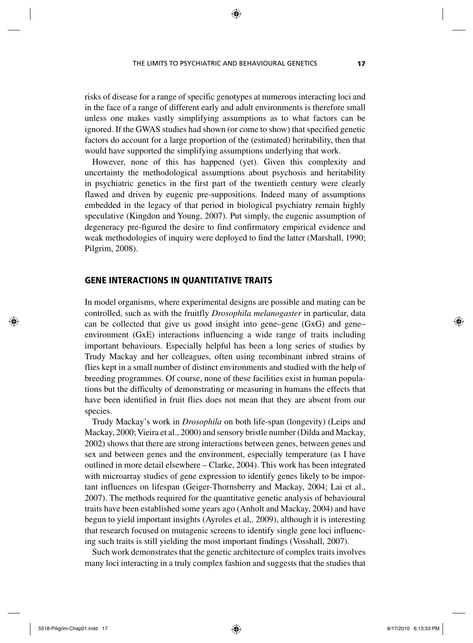risks of disease for a range of specific genotypes at numerous interacting loci and in the face of a range of different early and adult environments is therefore small unless one makes vastly simplifying assumptions as to what factors can be ignored. If the GWAS studies had shown (or come to show) that specified genetic factors do account for a large proportion of the (estimated) heritability, then that would have supported the simplifying assumptions underlying that work.

However, none of this has happened (yet). Given this complexity and uncertainty the methodological assumptions about psychosis and heritability in psychiatric genetics in the first part of the twentieth century were clearly flawed and driven by eugenic pre-suppositions. Indeed many of assumptions embedded in the legacy of that period in biological psychiatry remain highly speculative (Kingdon and Young, 2007). Put simply, the eugenic assumption of degeneracy pre-figured the desire to find confirmatory empirical evidence and weak methodologies of inquiry were deployed to find the latter (Marshall, 1990; Pilgrim, 2008).

#### GENE INTERACTIONS IN QUANTITATIVE TRAITS

In model organisms, where experimental designs are possible and mating can be controlled, such as with the fruitfly *Drosophila melanogaster* in particular, data can be collected that give us good insight into gene–gene (GxG) and gene– environment (GxE) interactions influencing a wide range of traits including important behaviours. Especially helpful has been a long series of studies by Trudy Mackay and her colleagues, often using recombinant inbred strains of flies kept in a small number of distinct environments and studied with the help of breeding programmes. Of course, none of these facilities exist in human populations but the difficulty of demonstrating or measuring in humans the effects that have been identified in fruit flies does not mean that they are absent from our species.

Trudy Mackay's work in *Drosophila* on both life-span (longevity) (Leips and Mackay, 2000; Vieira et al., 2000) and sensory bristle number (Dilda and Mackay, 2002) shows that there are strong interactions between genes, between genes and sex and between genes and the environment, especially temperature (as I have outlined in more detail elsewhere – Clarke, 2004). This work has been integrated with microarray studies of gene expression to identify genes likely to be important influences on lifespan (Geiger-Thornsberry and Mackay, 2004; Lai et al., 2007). The methods required for the quantitative genetic analysis of behavioural traits have been established some years ago (Anholt and Mackay, 2004) and have begun to yield important insights (Ayroles et al,. 2009), although it is interesting that research focused on mutagenic screens to identify single gene loci influencing such traits is still yielding the most important findings (Vosshall, 2007).

Such work demonstrates that the genetic architecture of complex traits involves many loci interacting in a truly complex fashion and suggests that the studies that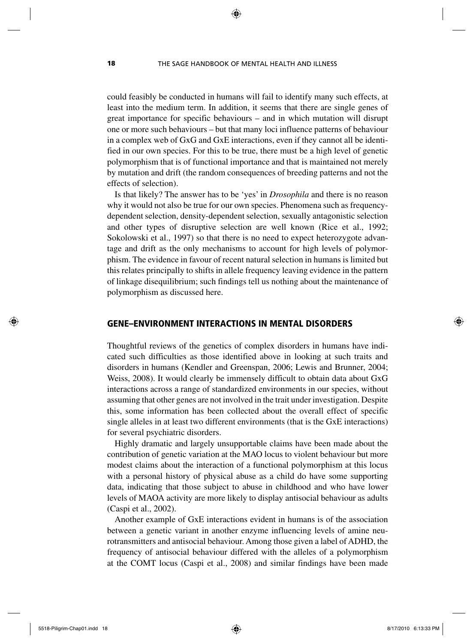could feasibly be conducted in humans will fail to identify many such effects, at least into the medium term. In addition, it seems that there are single genes of great importance for specific behaviours – and in which mutation will disrupt one or more such behaviours – but that many loci influence patterns of behaviour in a complex web of GxG and GxE interactions, even if they cannot all be identified in our own species. For this to be true, there must be a high level of genetic polymorphism that is of functional importance and that is maintained not merely by mutation and drift (the random consequences of breeding patterns and not the effects of selection).

Is that likely? The answer has to be 'yes' in *Drosophila* and there is no reason why it would not also be true for our own species. Phenomena such as frequencydependent selection, density-dependent selection, sexually antagonistic selection and other types of disruptive selection are well known (Rice et al., 1992; Sokolowski et al., 1997) so that there is no need to expect heterozygote advantage and drift as the only mechanisms to account for high levels of polymorphism. The evidence in favour of recent natural selection in humans is limited but this relates principally to shifts in allele frequency leaving evidence in the pattern of linkage disequilibrium; such findings tell us nothing about the maintenance of polymorphism as discussed here.

#### GENE–ENVIRONMENT INTERACTIONS IN MENTAL DISORDERS

Thoughtful reviews of the genetics of complex disorders in humans have indicated such difficulties as those identified above in looking at such traits and disorders in humans (Kendler and Greenspan, 2006; Lewis and Brunner, 2004; Weiss, 2008). It would clearly be immensely difficult to obtain data about GxG interactions across a range of standardized environments in our species, without assuming that other genes are not involved in the trait under investigation. Despite this, some information has been collected about the overall effect of specific single alleles in at least two different environments (that is the GxE interactions) for several psychiatric disorders.

Highly dramatic and largely unsupportable claims have been made about the contribution of genetic variation at the MAO locus to violent behaviour but more modest claims about the interaction of a functional polymorphism at this locus with a personal history of physical abuse as a child do have some supporting data, indicating that those subject to abuse in childhood and who have lower levels of MAOA activity are more likely to display antisocial behaviour as adults (Caspi et al., 2002).

Another example of GxE interactions evident in humans is of the association between a genetic variant in another enzyme influencing levels of amine neurotransmitters and antisocial behaviour. Among those given a label of ADHD, the frequency of antisocial behaviour differed with the alleles of a polymorphism at the COMT locus (Caspi et al., 2008) and similar findings have been made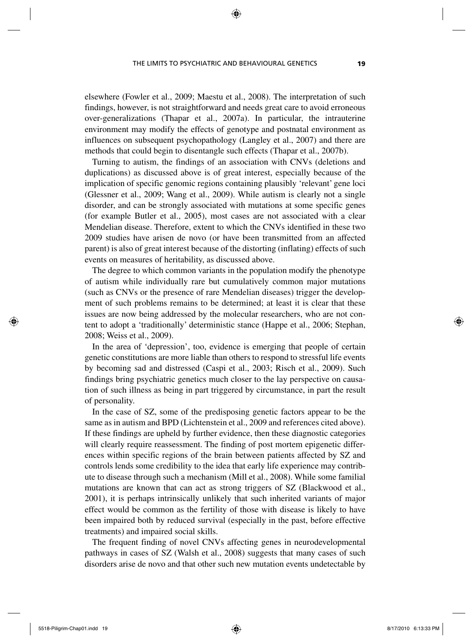⊕

elsewhere (Fowler et al., 2009; Maestu et al., 2008). The interpretation of such findings, however, is not straightforward and needs great care to avoid erroneous over-generalizations (Thapar et al., 2007a). In particular, the intrauterine environment may modify the effects of genotype and postnatal environment as influences on subsequent psychopathology (Langley et al., 2007) and there are methods that could begin to disentangle such effects (Thapar et al., 2007b).

Turning to autism, the findings of an association with CNVs (deletions and duplications) as discussed above is of great interest, especially because of the implication of specific genomic regions containing plausibly 'relevant' gene loci (Glessner et al., 2009; Wang et al., 2009). While autism is clearly not a single disorder, and can be strongly associated with mutations at some specific genes (for example Butler et al., 2005), most cases are not associated with a clear Mendelian disease. Therefore, extent to which the CNVs identified in these two 2009 studies have arisen de novo (or have been transmitted from an affected parent) is also of great interest because of the distorting (inflating) effects of such events on measures of heritability, as discussed above.

The degree to which common variants in the population modify the phenotype of autism while individually rare but cumulatively common major mutations (such as CNVs or the presence of rare Mendelian diseases) trigger the development of such problems remains to be determined; at least it is clear that these issues are now being addressed by the molecular researchers, who are not content to adopt a 'traditionally' deterministic stance (Happe et al., 2006; Stephan, 2008; Weiss et al., 2009).

In the area of 'depression', too, evidence is emerging that people of certain genetic constitutions are more liable than others to respond to stressful life events by becoming sad and distressed (Caspi et al., 2003; Risch et al., 2009). Such findings bring psychiatric genetics much closer to the lay perspective on causation of such illness as being in part triggered by circumstance, in part the result of personality.

In the case of SZ, some of the predisposing genetic factors appear to be the same as in autism and BPD (Lichtenstein et al., 2009 and references cited above). If these findings are upheld by further evidence, then these diagnostic categories will clearly require reassessment. The finding of post mortem epigenetic differences within specific regions of the brain between patients affected by SZ and controls lends some credibility to the idea that early life experience may contribute to disease through such a mechanism (Mill et al., 2008). While some familial mutations are known that can act as strong triggers of SZ (Blackwood et al., 2001), it is perhaps intrinsically unlikely that such inherited variants of major effect would be common as the fertility of those with disease is likely to have been impaired both by reduced survival (especially in the past, before effective treatments) and impaired social skills.

The frequent finding of novel CNVs affecting genes in neurodevelopmental pathways in cases of SZ (Walsh et al., 2008) suggests that many cases of such disorders arise de novo and that other such new mutation events undetectable by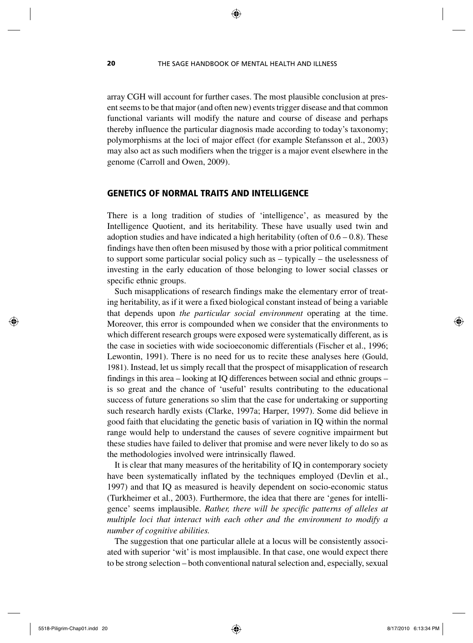array CGH will account for further cases. The most plausible conclusion at present seems to be that major (and often new) events trigger disease and that common functional variants will modify the nature and course of disease and perhaps thereby influence the particular diagnosis made according to today's taxonomy; polymorphisms at the loci of major effect (for example Stefansson et al., 2003) may also act as such modifiers when the trigger is a major event elsewhere in the genome (Carroll and Owen, 2009).

#### GENETICS OF NORMAL TRAITS AND INTELLIGENCE

There is a long tradition of studies of 'intelligence', as measured by the Intelligence Quotient, and its heritability. These have usually used twin and adoption studies and have indicated a high heritability (often of  $0.6 - 0.8$ ). These findings have then often been misused by those with a prior political commitment to support some particular social policy such as – typically – the uselessness of investing in the early education of those belonging to lower social classes or specific ethnic groups.

Such misapplications of research findings make the elementary error of treating heritability, as if it were a fixed biological constant instead of being a variable that depends upon *the particular social environment* operating at the time. Moreover, this error is compounded when we consider that the environments to which different research groups were exposed were systematically different, as is the case in societies with wide socioeconomic differentials (Fischer et al., 1996; Lewontin, 1991). There is no need for us to recite these analyses here (Gould, 1981). Instead, let us simply recall that the prospect of misapplication of research findings in this area – looking at IQ differences between social and ethnic groups – is so great and the chance of 'useful' results contributing to the educational success of future generations so slim that the case for undertaking or supporting such research hardly exists (Clarke, 1997a; Harper, 1997). Some did believe in good faith that elucidating the genetic basis of variation in IQ within the normal range would help to understand the causes of severe cognitive impairment but these studies have failed to deliver that promise and were never likely to do so as the methodologies involved were intrinsically flawed.

It is clear that many measures of the heritability of IQ in contemporary society have been systematically inflated by the techniques employed (Devlin et al., 1997) and that IQ as measured is heavily dependent on socio-economic status (Turkheimer et al., 2003). Furthermore, the idea that there are 'genes for intelligence' seems implausible. *Rather, there will be specific patterns of alleles at multiple loci that interact with each other and the environment to modify a number of cognitive abilities.*

The suggestion that one particular allele at a locus will be consistently associated with superior 'wit' is most implausible. In that case, one would expect there to be strong selection – both conventional natural selection and, especially, sexual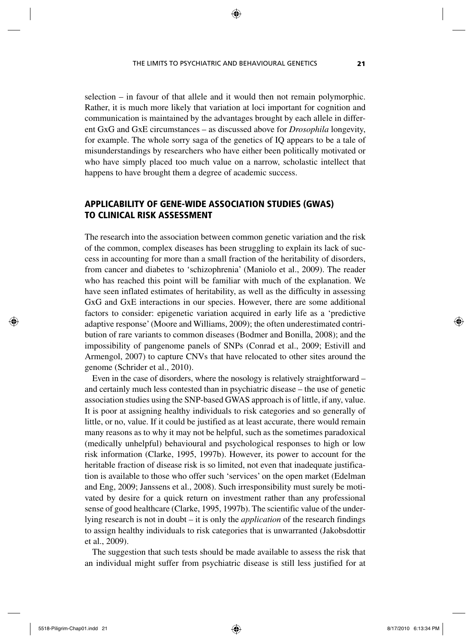⊕

selection – in favour of that allele and it would then not remain polymorphic. Rather, it is much more likely that variation at loci important for cognition and communication is maintained by the advantages brought by each allele in different GxG and GxE circumstances – as discussed above for *Drosophila* longevity, for example. The whole sorry saga of the genetics of IQ appears to be a tale of misunderstandings by researchers who have either been politically motivated or who have simply placed too much value on a narrow, scholastic intellect that happens to have brought them a degree of academic success.

#### APPLICABILITY OF GENE-WIDE ASSOCIATION STUDIES (GWAS) TO CLINICAL RISK ASSESSMENT

The research into the association between common genetic variation and the risk of the common, complex diseases has been struggling to explain its lack of success in accounting for more than a small fraction of the heritability of disorders, from cancer and diabetes to 'schizophrenia' (Maniolo et al., 2009). The reader who has reached this point will be familiar with much of the explanation. We have seen inflated estimates of heritability, as well as the difficulty in assessing GxG and GxE interactions in our species. However, there are some additional factors to consider: epigenetic variation acquired in early life as a 'predictive adaptive response' (Moore and Williams, 2009); the often underestimated contribution of rare variants to common diseases (Bodmer and Bonilla, 2008); and the impossibility of pangenome panels of SNPs (Conrad et al., 2009; Estivill and Armengol, 2007) to capture CNVs that have relocated to other sites around the genome (Schrider et al., 2010).

Even in the case of disorders, where the nosology is relatively straightforward – and certainly much less contested than in psychiatric disease – the use of genetic association studies using the SNP-based GWAS approach is of little, if any, value. It is poor at assigning healthy individuals to risk categories and so generally of little, or no, value. If it could be justified as at least accurate, there would remain many reasons as to why it may not be helpful, such as the sometimes paradoxical (medically unhelpful) behavioural and psychological responses to high or low risk information (Clarke, 1995, 1997b). However, its power to account for the heritable fraction of disease risk is so limited, not even that inadequate justification is available to those who offer such 'services' on the open market (Edelman and Eng, 2009; Janssens et al., 2008). Such irresponsibility must surely be motivated by desire for a quick return on investment rather than any professional sense of good healthcare (Clarke, 1995, 1997b). The scientific value of the underlying research is not in doubt – it is only the *application* of the research findings to assign healthy individuals to risk categories that is unwarranted (Jakobsdottir et al., 2009).

The suggestion that such tests should be made available to assess the risk that an individual might suffer from psychiatric disease is still less justified for at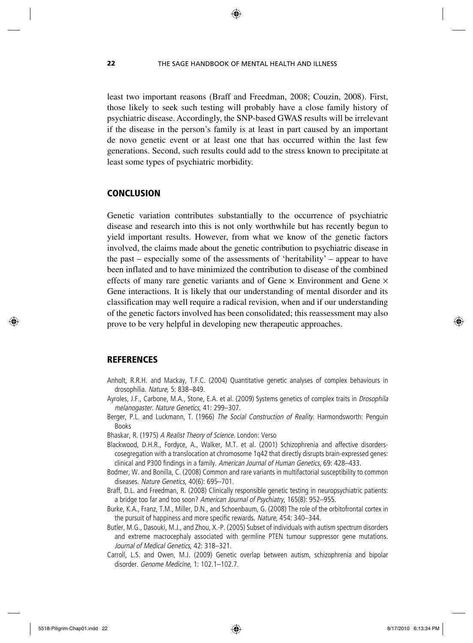#### **22** THE SAGE HANDBOOK OF MENTAL HEALTH AND ILLNESS

⊕

least two important reasons (Braff and Freedman, 2008; Couzin, 2008). First, those likely to seek such testing will probably have a close family history of psychiatric disease. Accordingly, the SNP-based GWAS results will be irrelevant if the disease in the person's family is at least in part caused by an important de novo genetic event or at least one that has occurred within the last few generations. Second, such results could add to the stress known to precipitate at least some types of psychiatric morbidity.

#### CONCLUSION

Genetic variation contributes substantially to the occurrence of psychiatric disease and research into this is not only worthwhile but has recently begun to yield important results. However, from what we know of the genetic factors involved, the claims made about the genetic contribution to psychiatric disease in the past – especially some of the assessments of 'heritability' – appear to have been inflated and to have minimized the contribution to disease of the combined effects of many rare genetic variants and of Gene  $\times$  Environment and Gene  $\times$ Gene interactions. It is likely that our understanding of mental disorder and its classification may well require a radical revision, when and if our understanding of the genetic factors involved has been consolidated; this reassessment may also prove to be very helpful in developing new therapeutic approaches.

#### **REFERENCES**

- Anholt, R.R.H. and Mackay, T.F.C. (2004) Quantitative genetic analyses of complex behaviours in drosophilia. *Nature*, 5: 838–849.
- Ayroles, J.F., Carbone, M.A., Stone, E.A. et al. (2009) Systems genetics of complex traits in *Drosophila melanogaster. Nature Genetics*, 41: 299–307.
- Berger, P.L. and Luckmann, T. (1966) *The Social Construction of Reality.* Harmondsworth: Penguin Books

Bhaskar, R. (1975) *A Realist Theory of Science*. London: Verso

- Blackwood, D.H.R., Fordyce, A., Walker, M.T. et al. (2001) Schizophrenia and affective disorderscosegregation with a translocation at chromosome 1q42 that directly disrupts brain-expressed genes: clinical and P300 findings in a family. *American Journal of Human Genetics*, 69: 428–433.
- Bodmer, W. and Bonilla, C. (2008) Common and rare variants in multifactorial susceptibility to common diseases. *Nature Genetics*, 40(6): 695–701.
- Braff, D.L. and Freedman, R. (2008) Clinically responsible genetic testing in neuropsychiatric patients: a bridge too far and too soon? *American Journal of Psychiatry*, 165(8): 952–955.
- Burke, K.A., Franz, T.M., Miller, D.N., and Schoenbaum, G. (2008) The role of the orbitofrontal cortex in the pursuit of happiness and more specific rewards. *Nature,* 454: 340–344.
- Butler, M.G., Dasouki, M.J., and Zhou, X.-P. (2005) Subset of individuals with autism spectrum disorders and extreme macrocephaly associated with germline PTEN tumour suppressor gene mutations. *Journal of Medical Genetics*, 42: 318–321.
- Carroll, L.S. and Owen, M.J. (2009) Genetic overlap between autism, schizophrenia and bipolar disorder. *Genome Medicine*, 1: 102.1–102.7.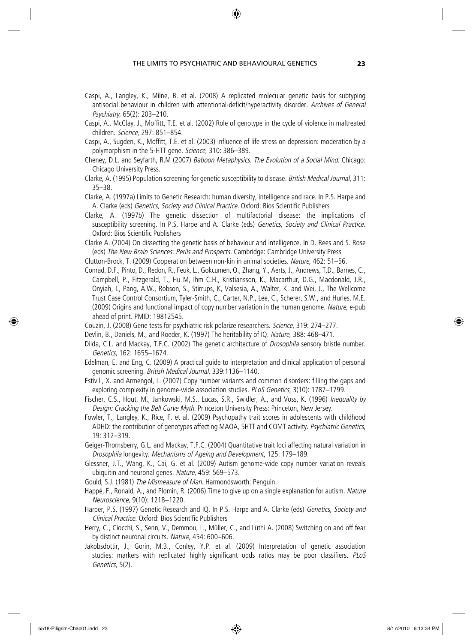- Caspi, A., Langley, K., Milne, B. et al. (2008) A replicated molecular genetic basis for subtyping antisocial behaviour in children with attentional-deficit/hyperactivity disorder. *Archives of General Psychiatry*, 65(2): 203–210.
- Caspi, A., McClay, J., Moffitt, T.E. et al. (2002) Role of genotype in the cycle of violence in maltreated children. *Science,* 297: 851–854.
- Caspi, A., Sugden, K., Moffitt, T.E. et al. (2003) Influence of life stress on depression: moderation by a polymorphism in the 5-HTT gene. *Science*, 310: 386–389.
- Cheney, D.L. and Seyfarth, R.M (2007) *Baboon Metaphysics. The Evolution of a Social Mind.* Chicago: Chicago University Press.
- Clarke, A. (1995) Population screening for genetic susceptibility to disease. *British Medical Journal*, 311: 35–38.

Clarke, A. (1997a) Limits to Genetic Research: human diversity, intelligence and race. In P.S. Harpe and A. Clarke (eds) *Genetics, Society and Clinical Practice.* Oxford: Bios Scientific Publishers

- Clarke, A. (1997b) The genetic dissection of multifactorial disease: the implications of susceptibility screening. In P.S. Harpe and A. Clarke (eds) *Genetics, Society and Clinical Practice.* Oxford: Bios Scientific Publishers
- Clarke A. (2004) On dissecting the genetic basis of behaviour and intelligence. In D. Rees and S. Rose (eds) *The New Brain Sciences: Perils and Prospects.* Cambridge: Cambridge University Press
- Clutton-Brock, T. (2009) Cooperation between non-kin in animal societies. *Nature,* 462: 51–56.
- Conrad, D.F., Pinto, D., Redon, R., Feuk, L., Gokcumen, O., Zhang, Y., Aerts, J., Andrews, T.D., Barnes, C., Campbell, P., Fitzgerald, T., Hu M, Ihm C.H., Kristiansson, K., Macarthur, D.G., Macdonald, J.R., Onyiah, I., Pang, A.W., Robson, S., Stirrups, K, Valsesia, A., Walter, K. and Wei, J., The Wellcome Trust Case Control Consortium, Tyler-Smith, C., Carter, N.P., Lee, C., Scherer, S.W., and Hurles, M.E. (2009) Origins and functional impact of copy number variation in the human genome. *Nature*, e-pub ahead of print. PMID: 19812545.

Couzin, J. (2008) Gene tests for psychiatric risk polarize researchers. *Science*, 319: 274–277.

- Devlin, B., Daniels, M., and Roeder, K. (1997) The heritability of IQ. *Nature*, 388: 468–471.
- Dilda, C.L. and Mackay, T.F.C. (2002) The genetic architecture of *Drosophila* sensory bristle number. *Genetics*, 162: 1655–1674.
- Edelman, E. and Eng, C. (2009) A practical guide to interpretation and clinical application of personal genomic screening. *British Medical Journal*, 339:1136–1140.
- Estivill, X. and Armengol, L. (2007) Copy number variants and common disorders: filling the gaps and exploring complexity in genome-wide association studies. *PLoS Genetics*, 3(10): 1787–1799.
- Fischer, C.S., Hout, M., Jankowski, M.S., Lucas, S.R., Swidler, A., and Voss, K. (1996) *Inequality by Design: Cracking the Bell Curve Myth*. Princeton University Press: Princeton, New Jersey.
- Fowler, T., Langley, K., Rice, F. et al. (2009) Psychopathy trait scores in adolescents with childhood ADHD: the contribution of genotypes affecting MAOA, 5HTT and COMT activity. *Psychiatric Genetics*, 19: 312–319.
- Geiger-Thornsberry, G.L. and Mackay, T.F.C. (2004) Quantitative trait loci affecting natural variation in *Drosophila* longevity. *Mechanisms of Ageing and Development*, 125: 179–189.

Glessner, J.T., Wang, K., Cai, G. et al. (2009) Autism genome-wide copy number variation reveals ubiquitin and neuronal genes. *Nature*, 459: 569–573.

Gould, S.J. (1981) *The Mismeasure of Man*. Harmondsworth: Penguin.

- Happé, F., Ronald, A., and Plomin, R. (2006) Time to give up on a single explanation for autism. *Nature Neuroscience,* 9(10): 1218–1220.
- Harper, P.S. (1997) Genetic Research and IQ. In P.S. Harpe and A. Clarke (eds) *Genetics, Society and Clinical Practice.* Oxford: Bios Scientific Publishers
- Herry, C., Ciocchi, S., Senn, V., Demmou, L., Müller, C., and Lüthi A. (2008) Switching on and off fear by distinct neuronal circuits. *Nature*, 454: 600–606.
- Jakobsdottir, J., Gorin, M.B., Conley, Y.P. et al. (2009) Interpretation of genetic association studies: markers with replicated highly significant odds ratios may be poor classifiers. *PLoS Genetics*, 5(2).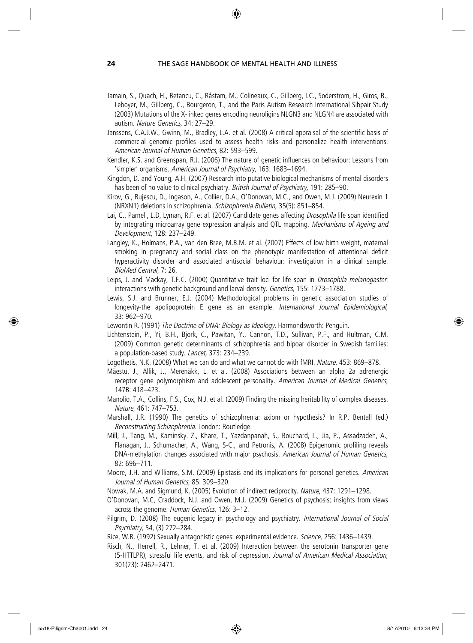#### **24** THE SAGE HANDBOOK OF MENTAL HEALTH AND ILLNESS

⊕

- Jamain, S., Quach, H., Betancu, C., Råstam, M., Colineaux, C., Gillberg, I.C., Soderstrom, H., Giros, B., Leboyer, M., Gillberg, C., Bourgeron, T., and the Paris Autism Research International Sibpair Study (2003) Mutations of the X-linked genes encoding neuroligins NLGN3 and NLGN4 are associated with autism. *Nature Genetics,* 34: 27–29.
- Janssens, C.A.J.W., Gwinn, M., Bradley, L.A. et al. (2008) A critical appraisal of the scientific basis of commercial genomic profiles used to assess health risks and personalize health interventions. *American Journal of Human Genetics,* 82: 593–599.
- Kendler, K.S. and Greenspan, R.J. (2006) The nature of genetic influences on behaviour: Lessons from 'simpler' organisms. *American Journal of Psychiatry*, 163: 1683–1694.
- Kingdon, D. and Young, A.H. (2007) Research into putative biological mechanisms of mental disorders has been of no value to clinical psychiatry. *British Journal of Psychiatry,* 191: 285–90.
- Kirov, G., Rujescu, D., Ingason, A., Collier, D.A., O'Donovan, M.C., and Owen, M.J. (2009) Neurexin 1 (NRXN1) deletions in schizophrenia. *Schizophrenia Bulletin*, 35(5): 851–854.
- Lai, C., Parnell, L.D, Lyman, R.F. et al. (2007) Candidate genes affecting *Drosophila* life span identified by integrating microarray gene expression analysis and QTL mapping. *Mechanisms of Ageing and Development*, 128: 237–249.
- Langley, K., Holmans, P.A., van den Bree, M.B.M. et al. (2007) Effects of low birth weight, maternal smoking in pregnancy and social class on the phenotypic manifestation of attentional deficit hyperactivity disorder and associated antisocial behaviour: investigation in a clinical sample. *BioMed Central*, 7: 26.
- Leips, J. and Mackay, T.F.C. (2000) Quantitative trait loci for life span in *Drosophila melanogaster*: interactions with genetic background and larval density. *Genetics*, 155: 1773–1788.
- Lewis, S.J. and Brunner, E.J. (2004) Methodological problems in genetic association studies of longevity-the apolipoprotein E gene as an example. *International Journal Epidemiological*, 33: 962–970.
- Lewontin R. (1991) *The Doctrine of DNA: Biology as Ideology*. Harmondsworth: Penguin.
- Lichtenstein, P., Yi, B.H., Bjork, C., Pawitan, Y., Cannon, T.D., Sullivan, P.F., and Hultman, C.M. (2009) Common genetic determinants of schizophrenia and bipoar disorder in Swedish families: a population-based study. *Lancet,* 373: 234–239.
- Logothetis, N.K. (2008) What we can do and what we cannot do with fMRI. *Nature*, 453: 869–878.
- Mäestu, J., Allik, J., Merenäkk, L. et al. (2008) Associations between an alpha 2a adrenergic receptor gene polymorphism and adolescent personality. *American Journal of Medical Genetics*, 147B: 418–423.
- Manolio, T.A., Collins, F.S., Cox, N.J. et al. (2009) Finding the missing heritability of complex diseases. *Nature*, 461: 747–753.
- Marshall, J.R. (1990) The genetics of schizophrenia: axiom or hypothesis? In R.P. Bentall (ed.) *Reconstructing Schizophrenia.* London: Routledge.
- Mill, J., Tang, M., Kaminsky. Z., Khare, T., Yazdanpanah, S., Bouchard, L., Jia, P., Assadzadeh, A., Flanagan, J., Schumacher, A., Wang, S-C., and Petronis, A. (2008) Epigenomic profiling reveals DNA-methylation changes associated with major psychosis. *American Journal of Human Genetics*, 82: 696–711.
- Moore, J.H. and Williams, S.M. (2009) Epistasis and its implications for personal genetics. *American Journal of Human Genetics*, 85: 309–320.
- Nowak, M.A. and Sigmund, K. (2005) Evolution of indirect reciprocity. *Nature*, 437: 1291–1298.
- O'Donovan, M.C, Craddock, N.J. and Owen, M.J. (2009) Genetics of psychosis; insights from views across the genome. *Human Genetics*, 126: 3–12.
- Pilgrim, D. (2008) The eugenic legacy in psychology and psychiatry. *International Journal of Social Psychiatry*, 54, (3) 272–284.
- Rice, W.R. (1992) Sexually antagonistic genes: experimental evidence. *Science*, 256: 1436–1439.
- Risch, N., Herrell, R., Lehner, T. et al. (2009) Interaction between the serotonin transporter gene (5-HTTLPR), stressful life events, and risk of depression. *Journal of American Medical Association*, 301(23): 2462–2471.